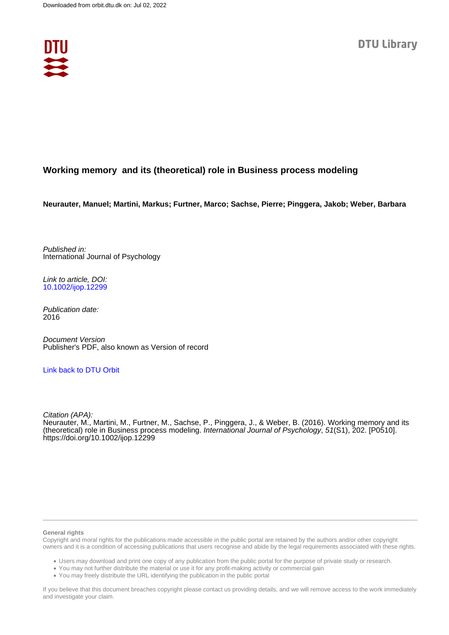

# **Working memory and its (theoretical) role in Business process modeling**

**Neurauter, Manuel; Martini, Markus; Furtner, Marco; Sachse, Pierre; Pinggera, Jakob; Weber, Barbara**

Published in: International Journal of Psychology

Link to article, DOI: [10.1002/ijop.12299](https://doi.org/10.1002/ijop.12299)

Publication date: 2016

Document Version Publisher's PDF, also known as Version of record

# [Link back to DTU Orbit](https://orbit.dtu.dk/en/publications/d8296fe3-9e81-4761-8507-8e9ba6db19e5)

Citation (APA): Neurauter, M., Martini, M., Furtner, M., Sachse, P., Pinggera, J., & Weber, B. (2016). Working memory and its (theoretical) role in Business process modeling. International Journal of Psychology, 51(S1), 202. [P0510]. <https://doi.org/10.1002/ijop.12299>

#### **General rights**

Copyright and moral rights for the publications made accessible in the public portal are retained by the authors and/or other copyright owners and it is a condition of accessing publications that users recognise and abide by the legal requirements associated with these rights.

Users may download and print one copy of any publication from the public portal for the purpose of private study or research.

- You may not further distribute the material or use it for any profit-making activity or commercial gain
- You may freely distribute the URL identifying the publication in the public portal

If you believe that this document breaches copyright please contact us providing details, and we will remove access to the work immediately and investigate your claim.